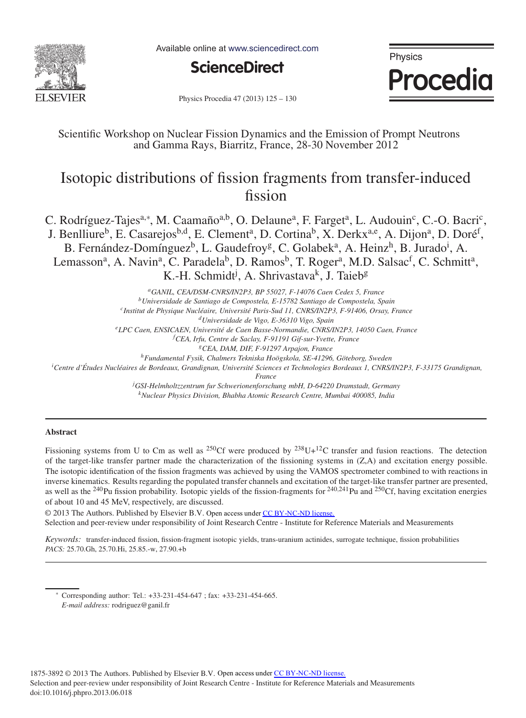

Available online at www.sciencedirect.com



Physics **Procedia** 

Physics Procedia 47 (2013) 125 - 130

Scientific Workshop on Nuclear Fission Dynamics and the Emission of Prompt Neutrons and Gamma Rays, Biarritz, France, 28-30 November 2012

# Isotopic distributions of fission fragments from transfer-induced fission

C. Rodríguez-Tajes<sup>a,∗</sup>, M. Caamaño<sup>a,b</sup>, O. Delaune<sup>a</sup>, F. Farget<sup>a</sup>, L. Audouin<sup>c</sup>, C.-O. Bacri<sup>c</sup>, J. Benlliure<sup>b</sup>, E. Casarejos<sup>b,d</sup>, E. Clement<sup>a</sup>, D. Cortina<sup>b</sup>, X. Derkx<sup>a,e</sup>, A. Dijon<sup>a</sup>, D. Doré<sup>f</sup>, B. Fernández-Domínguez<sup>b</sup>, L. Gaudefroy<sup>g</sup>, C. Golabek<sup>a</sup>, A. Heinz<sup>h</sup>, B. Jurado<sup>i</sup>, A. Lemasson<sup>a</sup>, A. Navin<sup>a</sup>, C. Paradela<sup>b</sup>, D. Ramos<sup>b</sup>, T. Roger<sup>a</sup>, M.D. Salsac<sup>f</sup>, C. Schmitt<sup>a</sup>, K.-H. Schmidt<sup>j</sup>, A. Shrivastava<sup>k</sup>, J. Taieb<sup>g</sup>

*aGANIL, CEA/DSM-CNRS/IN2P3, BP 55027, F-14076 Caen Cedex 5, France bUniversidade de Santiago de Compostela, E-15782 Santiago de Compostela, Spain cInstitut de Physique Nucl´eaire, Universit´e Paris-Sud 11, CNRS/IN2P3, F-91406, Orsay, France dUniversidade de Vigo, E-36310 Vigo, Spain eLPC Caen, ENSICAEN, Universit´e de Caen Basse-Normandie, CNRS/IN2P3, 14050 Caen, France f CEA, Irfu, Centre de Saclay, F-91191 Gif-sur-Yvette, France gCEA, DAM, DIF, F-91297 Arpajon, France hFundamental Fysik, Chalmers Tekniska Ho¨ogskola, SE-41296, G¨oteborg, Sweden i Centre d'Etudes Nucl´ ´ eaires de Bordeaux, Grandignan, Universit´e Sciences et Technologies Bordeaux 1, CNRS/IN2P3, F-33175 Grandignan, France j GSI-Helmholtzzentrum fur Schwerionenforschung mbH, D-64220 Dramstadt, Germany*

## *kNuclear Physics Division, Bhabha Atomic Research Centre, Mumbai 400085, India*

## **Abstract**

Fissioning systems from U to Cm as well as <sup>250</sup>Cf were produced by <sup>238</sup>U+<sup>12</sup>C transfer and fusion reactions. The detection of the target-like transfer partner made the characterization of the fissioning systems in (Z,A) and excitation energy possible. The isotopic identification of the fission fragments was achieved by using the VAMOS spectrometer combined to with reactions in inverse kinematics. Results regarding the populated transfer channels and excitation of the target-like transfer partner are presented, as well as the <sup>240</sup>Pu fission probability. Isotopic yields of the fission-fragments for <sup>240,241</sup>Pu and <sup>250</sup>Cf, having excitation energies of about 10 and 45 MeV, respectively, are discussed.

c 2013 The Authors. Published by Elsevier B.V. © 2013 The Authors. Published by Elsevier B.V. Open access under [CC BY-NC-ND license.](http://creativecommons.org/licenses/by-nc-nd/3.0/) Selection and peer-review under responsibility of Joint Research Centre - Institute for Reference Materials and Measurements

*Keywords:* transfer-induced fission, fission-fragment isotopic yields, trans-uranium actinides, surrogate technique, fission probabilities *PACS:* 25.70.Gh, 25.70.Hi, 25.85.-w, 27.90.+b

∗ Corresponding author: Tel.: +33-231-454-647 ; fax: +33-231-454-665.

*E-mail address:* rodriguez@ganil.fr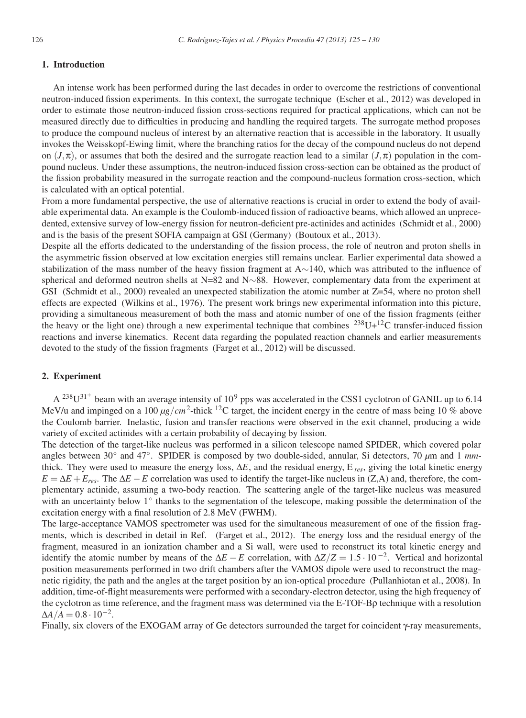# **1. Introduction**

An intense work has been performed during the last decades in order to overcome the restrictions of conventional neutron-induced fission experiments. In this context, the surrogate technique (Escher et al., 2012) was developed in order to estimate those neutron-induced fission cross-sections required for practical applications, which can not be measured directly due to difficulties in producing and handling the required targets. The surrogate method proposes to produce the compound nucleus of interest by an alternative reaction that is accessible in the laboratory. It usually invokes the Weisskopf-Ewing limit, where the branching ratios for the decay of the compound nucleus do not depend on  $(J,\pi)$ , or assumes that both the desired and the surrogate reaction lead to a similar  $(J,\pi)$  population in the compound nucleus. Under these assumptions, the neutron-induced fission cross-section can be obtained as the product of the fission probability measured in the surrogate reaction and the compound-nucleus formation cross-section, which is calculated with an optical potential.

From a more fundamental perspective, the use of alternative reactions is crucial in order to extend the body of available experimental data. An example is the Coulomb-induced fission of radioactive beams, which allowed an unprecedented, extensive survey of low-energy fission for neutron-deficient pre-actinides and actinides (Schmidt et al., 2000) and is the basis of the present SOFIA campaign at GSI (Germany) (Boutoux et al., 2013).

Despite all the efforts dedicated to the understanding of the fission process, the role of neutron and proton shells in the asymmetric fission observed at low excitation energies still remains unclear. Earlier experimental data showed a stabilization of the mass number of the heavy fission fragment at A∼140, which was attributed to the influence of spherical and deformed neutron shells at N=82 and N∼88. However, complementary data from the experiment at GSI (Schmidt et al., 2000) revealed an unexpected stabilization the atomic number at  $Z=54$ , where no proton shell effects are expected (Wilkins et al., 1976). The present work brings new experimental information into this picture, providing a simultaneous measurement of both the mass and atomic number of one of the fission fragments (either the heavy or the light one) through a new experimental technique that combines  $^{238}U+^{12}C$  transfer-induced fission reactions and inverse kinematics. Recent data regarding the populated reaction channels and earlier measurements devoted to the study of the fission fragments (Farget et al., 2012) will be discussed.

# **2. Experiment**

 $A^{238}U^{31^+}$  beam with an average intensity of 10<sup>9</sup> pps was accelerated in the CSS1 cyclotron of GANIL up to 6.14 MeV/u and impinged on a 100 *μg*/*cm*2-thick 12C target, the incident energy in the centre of mass being 10 % above the Coulomb barrier. Inelastic, fusion and transfer reactions were observed in the exit channel, producing a wide variety of excited actinides with a certain probability of decaying by fission.

The detection of the target-like nucleus was performed in a silicon telescope named SPIDER, which covered polar angles between 30◦ and 47◦. SPIDER is composed by two double-sided, annular, Si detectors, 70 *μ*m and 1 *mm*thick. They were used to measure the energy loss,  $\Delta E$ , and the residual energy,  $E_{res}$ , giving the total kinetic energy  $E = \Delta E + E_{res}$ . The  $\Delta E - E$  correlation was used to identify the target-like nucleus in (Z,A) and, therefore, the complementary actinide, assuming a two-body reaction. The scattering angle of the target-like nucleus was measured with an uncertainty below 1◦ thanks to the segmentation of the telescope, making possible the determination of the excitation energy with a final resolution of 2.8 MeV (FWHM).

The large-acceptance VAMOS spectrometer was used for the simultaneous measurement of one of the fission fragments, which is described in detail in Ref. (Farget et al., 2012). The energy loss and the residual energy of the fragment, measured in an ionization chamber and a Si wall, were used to reconstruct its total kinetic energy and identify the atomic number by means of the  $\Delta E - E$  correlation, with  $\Delta Z/Z = 1.5 \cdot 10^{-2}$ . Vertical and horizontal position measurements performed in two drift chambers after the VAMOS dipole were used to reconstruct the magnetic rigidity, the path and the angles at the target position by an ion-optical procedure (Pullanhiotan et al., 2008). In addition, time-of-flight measurements were performed with a secondary-electron detector, using the high frequency of the cyclotron as time reference, and the fragment mass was determined via the E-TOF-Bρ technique with a resolution  $\Delta A/A = 0.8 \cdot 10^{-2}$ .

Finally, six clovers of the EXOGAM array of Ge detectors surrounded the target for coincident γ-ray measurements,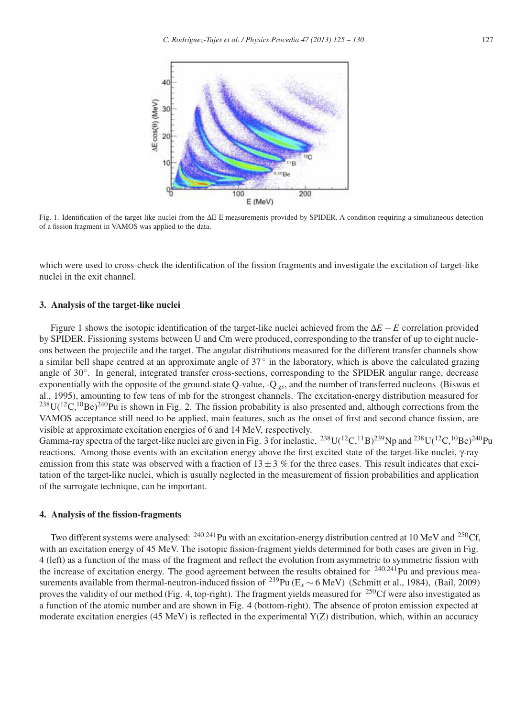

Fig. 1. Identification of the target-like nuclei from the ΔE-E measurements provided by SPIDER. A condition requiring a simultaneous detection of a fission fragment in VAMOS was applied to the data.

which were used to cross-check the identification of the fission fragments and investigate the excitation of target-like nuclei in the exit channel.

### **3. Analysis of the target-like nuclei**

Figure 1 shows the isotopic identification of the target-like nuclei achieved from the Δ*E* −*E* correlation provided by SPIDER. Fissioning systems between U and Cm were produced, corresponding to the transfer of up to eight nucleons between the projectile and the target. The angular distributions measured for the different transfer channels show a similar bell shape centred at an approximate angle of 37◦ in the laboratory, which is above the calculated grazing angle of 30◦. In general, integrated transfer cross-sections, corresponding to the SPIDER angular range, decrease exponentially with the opposite of the ground-state Q-value, -Q *gs*, and the number of transferred nucleons (Biswas et al., 1995), amounting to few tens of mb for the strongest channels. The excitation-energy distribution measured for  $^{238}$ U( $^{12}$ C, $^{10}$ Be)<sup>240</sup>Pu is shown in Fig. 2. The fission probability is also presented and, although corrections from the VAMOS acceptance still need to be applied, main features, such as the onset of first and second chance fission, are visible at approximate excitation energies of 6 and 14 MeV, respectively.

Gamma-ray spectra of the target-like nuclei are given in Fig. 3 for inelastic,  $^{238}U(^{12}C^{11}B)^{239}Np$  and  $^{238}U(^{12}C^{10}Be)^{240}Pu$ reactions. Among those events with an excitation energy above the first excited state of the target-like nuclei, γ-ray emission from this state was observed with a fraction of  $13 \pm 3$  % for the three cases. This result indicates that excitation of the target-like nuclei, which is usually neglected in the measurement of fission probabilities and application of the surrogate technique, can be important.

#### **4. Analysis of the fission-fragments**

Two different systems were analysed: <sup>240,241</sup>Pu with an excitation-energy distribution centred at 10 MeV and <sup>250</sup>Cf, with an excitation energy of 45 MeV. The isotopic fission-fragment yields determined for both cases are given in Fig. 4 (left) as a function of the mass of the fragment and reflect the evolution from asymmetric to symmetric fission with the increase of excitation energy. The good agreement between the results obtained for  $240,241$ Pu and previous measurements available from thermal-neutron-induced fission of <sup>239</sup>Pu ( $E_x \sim 6$  MeV) (Schmitt et al., 1984), (Bail, 2009) proves the validity of our method (Fig. 4, top-right). The fragment yields measured for  $^{250}$ Cf were also investigated as a function of the atomic number and are shown in Fig. 4 (bottom-right). The absence of proton emission expected at moderate excitation energies (45 MeV) is reflected in the experimental  $Y(Z)$  distribution, which, within an accuracy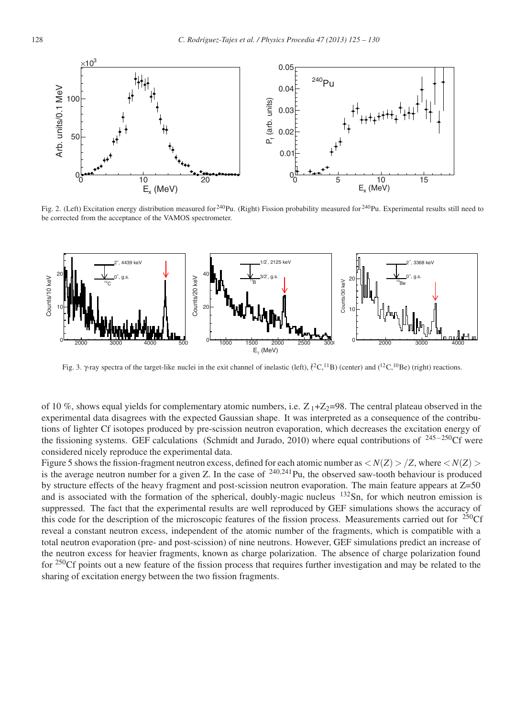

Fig. 2. (Left) Excitation energy distribution measured for  $2^{40}$ Pu. (Right) Fission probability measured for  $2^{40}$ Pu. Experimental results still need to be corrected from the acceptance of the VAMOS spectrometer.



Fig. 3. γ-ray spectra of the target-like nuclei in the exit channel of inelastic (left),  $\binom{2}{C}$ ,  $\binom{1}{B}$  (center) and  $\binom{12}{C}$ ,  $\binom{10}{B}$  (right) reactions.

of 10 %, shows equal yields for complementary atomic numbers, i.e.  $Z_1+Z_2=98$ . The central plateau observed in the experimental data disagrees with the expected Gaussian shape. It was interpreted as a consequence of the contributions of lighter Cf isotopes produced by pre-scission neutron evaporation, which decreases the excitation energy of the fissioning systems. GEF calculations (Schmidt and Jurado, 2010) where equal contributions of <sup>245</sup>−250Cf were considered nicely reproduce the experimental data.

Figure 5 shows the fission-fragment neutron excess, defined for each atomic number as  $\langle N(Z) \rangle / Z$ , where  $\langle N(Z) \rangle$ is the average neutron number for a given Z. In the case of  $240,241$ Pu, the observed saw-tooth behaviour is produced by structure effects of the heavy fragment and post-scission neutron evaporation. The main feature appears at Z=50 and is associated with the formation of the spherical, doubly-magic nucleus <sup>132</sup>Sn, for which neutron emission is suppressed. The fact that the experimental results are well reproduced by GEF simulations shows the accuracy of this code for the description of the microscopic features of the fission process. Measurements carried out for  $^{250}$ Cf reveal a constant neutron excess, independent of the atomic number of the fragments, which is compatible with a total neutron evaporation (pre- and post-scission) of nine neutrons. However, GEF simulations predict an increase of the neutron excess for heavier fragments, known as charge polarization. The absence of charge polarization found for <sup>250</sup>Cf points out a new feature of the fission process that requires further investigation and may be related to the sharing of excitation energy between the two fission fragments.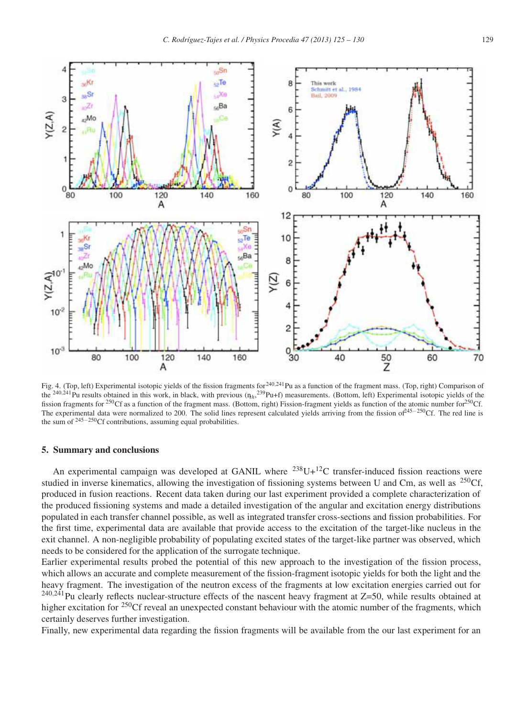

Fig. 4. (Top, left) Experimental isotopic yields of the fission fragments for <sup>240,241</sup>Pu as a function of the fragment mass. (Top, right) Comparison of the <sup>240,241</sup>Pu results obtained in this work, in black, with previous ( $n<sub>h</sub>$ , <sup>239</sup>Pu+f) measurements. (Bottom, left) Experimental isotopic yields of the fission fragments for <sup>250</sup>Cf as a function of the fragment mass. (Bottom, right) Fission-fragment yields as function of the atomic number for<sup>250</sup>Cf. The experimental data were normalized to 200. The solid lines represent calculated yields arriving from the fission of<sup>245−250</sup>Cf. The red line is the sum of <sup>245</sup>−250Cf contributions, assuming equal probabilities.

#### **5. Summary and conclusions**

An experimental campaign was developed at GANIL where  $^{238}$ U+ $^{12}$ C transfer-induced fission reactions were studied in inverse kinematics, allowing the investigation of fissioning systems between U and Cm, as well as  $^{250}$ Cf, produced in fusion reactions. Recent data taken during our last experiment provided a complete characterization of the produced fissioning systems and made a detailed investigation of the angular and excitation energy distributions populated in each transfer channel possible, as well as integrated transfer cross-sections and fission probabilities. For the first time, experimental data are available that provide access to the excitation of the target-like nucleus in the exit channel. A non-negligible probability of populating excited states of the target-like partner was observed, which needs to be considered for the application of the surrogate technique.

Earlier experimental results probed the potential of this new approach to the investigation of the fission process, which allows an accurate and complete measurement of the fission-fragment isotopic yields for both the light and the heavy fragment. The investigation of the neutron excess of the fragments at low excitation energies carried out for  $^{240,241}$ Pu clearly reflects nuclear-structure effects of the nascent heavy fragment at Z=50, while results obtained at higher excitation for <sup>250</sup>Cf reveal an unexpected constant behaviour with the atomic number of the fragments, which certainly deserves further investigation.

Finally, new experimental data regarding the fission fragments will be available from the our last experiment for an